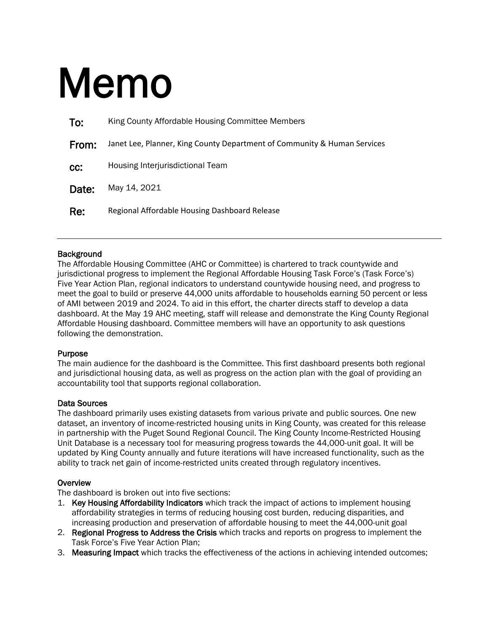# Memo

| To:   | King County Affordable Housing Committee Members                         |
|-------|--------------------------------------------------------------------------|
| From: | Janet Lee, Planner, King County Department of Community & Human Services |
| CC.   | Housing Interjurisdictional Team                                         |
| Date: | May 14, 2021                                                             |
| Re:   | Regional Affordable Housing Dashboard Release                            |

## Background

The Affordable Housing Committee (AHC or Committee) is chartered to track countywide and jurisdictional progress to implement the Regional Affordable Housing Task Force's (Task Force's) Five Year Action Plan, regional indicators to understand countywide housing need, and progress to meet the goal to build or preserve 44,000 units affordable to households earning 50 percent or less of AMI between 2019 and 2024. To aid in this effort, the charter directs staff to develop a data dashboard. At the May 19 AHC meeting, staff will release and demonstrate the King County Regional Affordable Housing dashboard. Committee members will have an opportunity to ask questions following the demonstration.

## Purpose

The main audience for the dashboard is the Committee. This first dashboard presents both regional and jurisdictional housing data, as well as progress on the action plan with the goal of providing an accountability tool that supports regional collaboration.

## Data Sources

The dashboard primarily uses existing datasets from various private and public sources. One new dataset, an inventory of income-restricted housing units in King County, was created for this release in partnership with the Puget Sound Regional Council. The King County Income-Restricted Housing Unit Database is a necessary tool for measuring progress towards the 44,000-unit goal. It will be updated by King County annually and future iterations will have increased functionality, such as the ability to track net gain of income-restricted units created through regulatory incentives.

# **Overview**

The dashboard is broken out into five sections:

- 1. Key Housing Affordability Indicators which track the impact of actions to implement housing affordability strategies in terms of reducing housing cost burden, reducing disparities, and increasing production and preservation of affordable housing to meet the 44,000-unit goal
- 2. Regional Progress to Address the Crisis which tracks and reports on progress to implement the Task Force's Five Year Action Plan;
- 3. Measuring Impact which tracks the effectiveness of the actions in achieving intended outcomes;